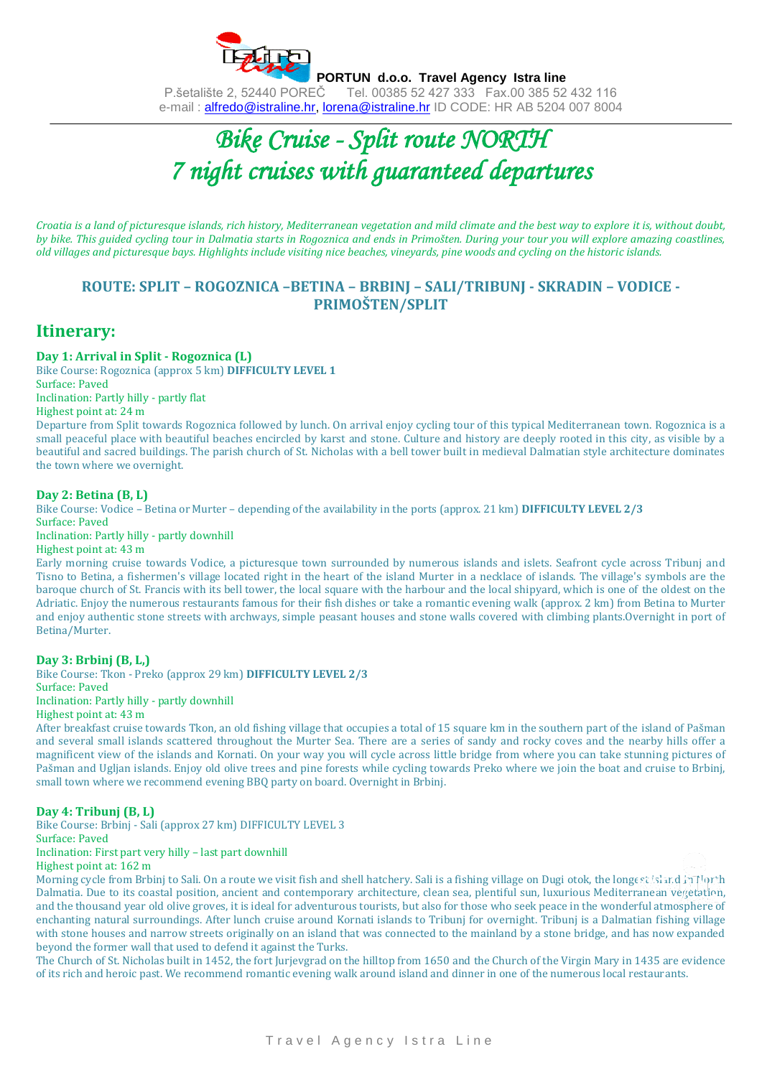

# *Bike Cruise - Split route NORTH 7 night cruises with guaranteed departures*

*Croatia is a land of picturesque islands, rich history, Mediterranean vegetation and mild climate and the best way to explore it is, without doubt, by bike. This guided cycling tour in Dalmatia starts in Rogoznica and ends in Primošten. During your tour you will explore amazing coastlines, old villages and picturesque bays. Highlights include visiting nice beaches, vineyards, pine woods and cycling on the historic islands.*

# **ROUTE: SPLIT – ROGOZNICA –BETINA – BRBINJ – SALI/TRIBUNJ - SKRADIN – VODICE - PRIMOŠTEN/SPLIT**

# **Itinerary:**

#### **Day 1: Arrival in Split - Rogoznica (L)**

Bike Course: Rogoznica (approx 5 km) **DIFFICULTY LEVEL 1** Surface: Paved Inclination: Partly hilly - partly flat Highest point at: 24 m

Departure from Split towards Rogoznica followed by lunch. On arrival enjoy cycling tour of this typical Mediterranean town. Rogoznica is a small peaceful place with beautiful beaches encircled by karst and stone. Culture and history are deeply rooted in this city, as visible by a beautiful and sacred buildings. The parish church of St. Nicholas with a bell tower built in medieval Dalmatian style architecture dominates the town where we overnight.

#### **Day 2: Betina (B, L)**

Bike Course: Vodice – Betina or Murter – depending of the availability in the ports (approx. 21 km) **DIFFICULTY LEVEL 2/3** Surface: Paved

Inclination: Partly hilly - partly downhill

Highest point at: 43 m

Early morning cruise towards Vodice, a picturesque town surrounded by numerous islands and islets. Seafront cycle across Tribunj and Tisno to Betina, a fishermen's village located right in the heart of the island Murter in a necklace of islands. The village's symbols are the baroque church of St. Francis with its bell tower, the local square with the harbour and the local shipyard, which is one of the oldest on the Adriatic. Enjoy the numerous restaurants famous for their fish dishes or take a romantic evening walk (approx. 2 km) from Betina to Murter and enjoy authentic stone streets with archways, simple peasant houses and stone walls covered with climbing plants.Overnight in port of Betina/Murter.

#### **Day 3: Brbinj (B, L,)**

Bike Course: Tkon - Preko (approx 29 km) **DIFFICULTY LEVEL 2/3** Surface: Paved Inclination: Partly hilly - partly downhill

Highest point at: 43 m

After breakfast cruise towards Tkon, an old fishing village that occupies a total of 15 square km in the southern part of the island of Pašman and several small islands scattered throughout the Murter Sea. There are a series of sandy and rocky coves and the nearby hills offer a magnificent view of the islands and Kornati. On your way you will cycle across little bridge from where you can take stunning pictures of Pašman and Ugljan islands. Enjoy old olive trees and pine forests while cycling towards Preko where we join the boat and cruise to Brbinj, small town where we recommend evening BBQ party on board. Overnight in Brbinj.

#### **Day 4: Tribunj (B, L)**

Bike Course: Brbinj - Sali (approx 27 km) DIFFICULTY LEVEL 3 Surface: Paved

Inclination: First part very hilly – last part downhill Highest point at: 162 m

Morning cycle from Brbinj to Sali. On a route we visit fish and shell hatchery. Sali is a fishing village on Dugi otok, the longest island in North Dalmatia. Due to its coastal position, ancient and contemporary architecture, clean sea, plentiful sun, luxurious Mediterranean vegetation, and the thousand year old olive groves, it is ideal for adventurous tourists, but also for those who seek peace in the wonderful atmosphere of enchanting natural surroundings. After lunch cruise around Kornati islands to Tribunj for overnight. Tribunj is a Dalmatian fishing village with stone houses and narrow streets originally on an island that was connected to the mainland by a stone bridge, and has now expanded beyond the former wall that used to defend it against the Turks.

The Church of St. Nicholas built in 1452, the fort Jurjevgrad on the hilltop from 1650 and the Church of the Virgin Mary in 1435 are evidence of its rich and heroic past. We recommend romantic evening walk around island and dinner in one of the numerous local restaurants.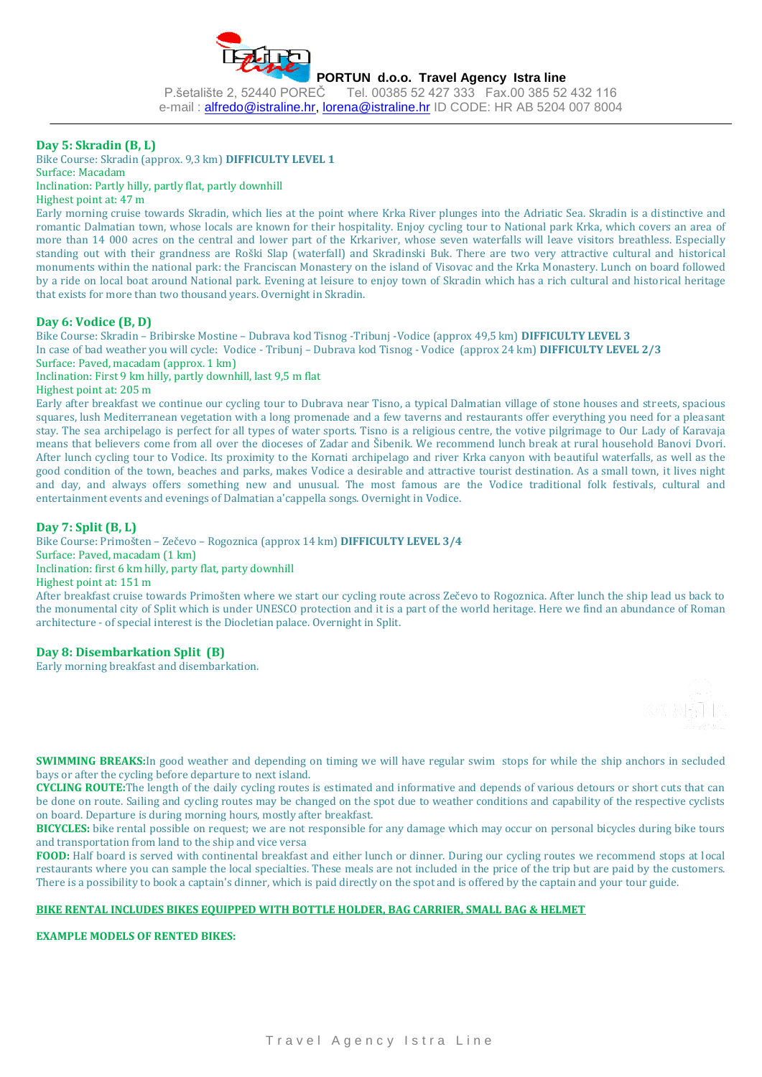

#### **Day 5: Skradin (B, L)**

Bike Course: Skradin (approx. 9,3 km) **DIFFICULTY LEVEL 1** Surface: Macadam

#### Inclination: Partly hilly, partly flat, partly downhill

Highest point at: 47 m

Early morning cruise towards Skradin, which lies at the point where Krka River plunges into the Adriatic Sea. Skradin is a distinctive and romantic Dalmatian town, whose locals are known for their hospitality. Enjoy cycling tour to National park Krka, which covers an area of more than 14 000 acres on the central and lower part of the Krkariver, whose seven waterfalls will leave visitors breathless. Especially standing out with their grandness are Roški Slap (waterfall) and Skradinski Buk. There are two very attractive cultural and historical monuments within the national park: the Franciscan Monastery on the island of Visovac and the Krka Monastery. Lunch on board followed by a ride on local boat around National park. Evening at leisure to enjoy town of Skradin which has a rich cultural and historical heritage that exists for more than two thousand years. Overnight in Skradin.

#### **Day 6: Vodice (B, D)**

Bike Course: Skradin – Bribirske Mostine – Dubrava kod Tisnog -Tribunj -Vodice (approx 49,5 km) **DIFFICULTY LEVEL 3** In case of bad weather you will cycle: Vodice - Tribunj – Dubrava kod Tisnog - Vodice (approx 24 km) **DIFFICULTY LEVEL 2/3** Surface: Paved, macadam (approx. 1 km)

Inclination: First 9 km hilly, partly downhill, last 9,5 m flat

Highest point at: 205 m

Early after breakfast we continue our cycling tour to Dubrava near Tisno, a typical Dalmatian village of stone houses and streets, spacious squares, lush Mediterranean vegetation with a long promenade and a few taverns and restaurants offer everything you need for a pleasant stay. The sea archipelago is perfect for all types of water sports. Tisno is a religious centre, the votive pilgrimage to Our Lady of Karavaja means that believers come from all over the dioceses of Zadar and Šibenik. We recommend lunch break at rural household Banovi Dvori. After lunch cycling tour to Vodice. Its proximity to the Kornati archipelago and river Krka canyon with beautiful waterfalls, as well as the good condition of the town, beaches and parks, makes Vodice a desirable and attractive tourist destination. As a small town, it lives night and day, and always offers something new and unusual. The most famous are the Vodice traditional folk festivals, cultural and entertainment events and evenings of Dalmatian a'cappella songs. Overnight in Vodice.

### **Day 7: Split (B, L)**

Bike Course: Primošten – Zečevo – Rogoznica (approx 14 km) **DIFFICULTY LEVEL 3/4**  Surface: Paved, macadam (1 km) Inclination: first 6 km hilly, party flat, party downhill Highest point at: 151 m

After breakfast cruise towards Primošten where we start our cycling route across Zečevo to Rogoznica. After lunch the ship lead us back to the monumental city of Split which is under UNESCO protection and it is a part of the world heritage. Here we find an abundance of Roman architecture - of special interest is the Diocletian palace. Overnight in Split.

#### **Day 8: Disembarkation Split (B)**

Early morning breakfast and disembarkation.



**SWIMMING BREAKS:**In good weather and depending on timing we will have regular swim stops for while the ship anchors in secluded bays or after the cycling before departure to next island.

**CYCLING ROUTE:**The length of the daily cycling routes is estimated and informative and depends of various detours or short cuts that can be done on route. Sailing and cycling routes may be changed on the spot due to weather conditions and capability of the respective cyclists on board. Departure is during morning hours, mostly after breakfast.

**BICYCLES:** bike rental possible on request; we are not responsible for any damage which may occur on personal bicycles during bike tours and transportation from land to the ship and vice versa

**FOOD:** Half board is served with continental breakfast and either lunch or dinner. During our cycling routes we recommend stops at local restaurants where you can sample the local specialties. These meals are not included in the price of the trip but are paid by the customers. There is a possibility to book a captain's dinner, which is paid directly on the spot and is offered by the captain and your tour guide.

#### **BIKE RENTAL INCLUDES BIKES EQUIPPED WITH BOTTLE HOLDER, BAG CARRIER, SMALL BAG & HELMET**

**EXAMPLE MODELS OF RENTED BIKES:**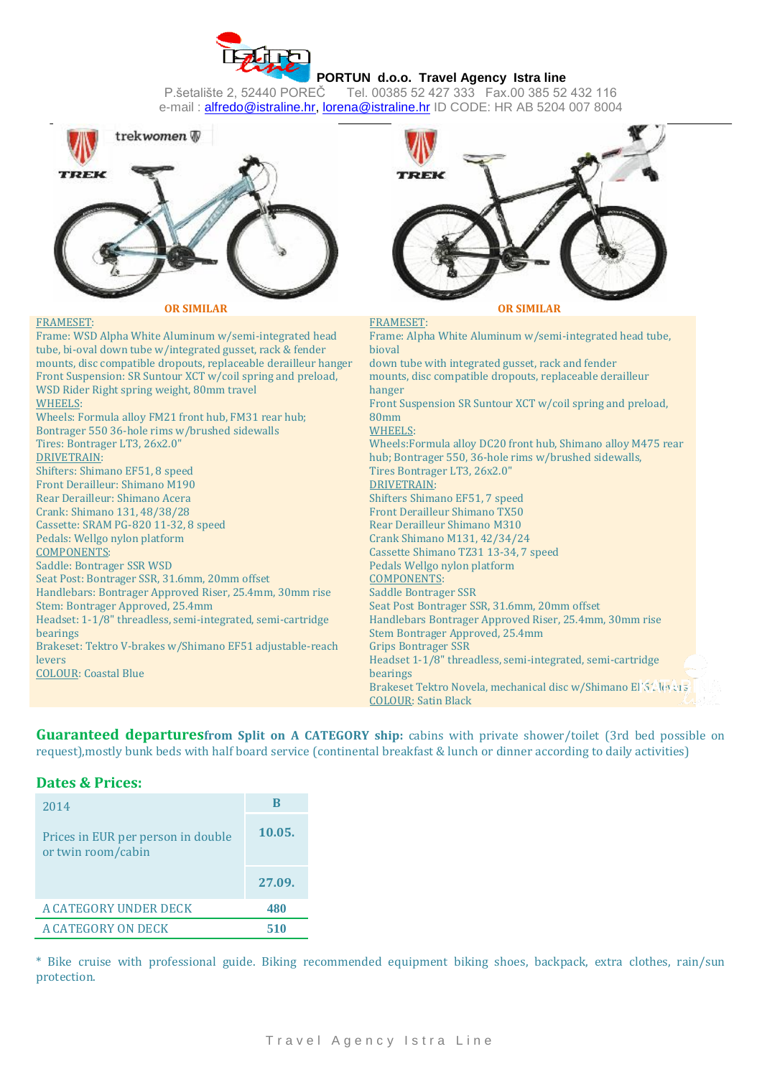



FRAMESET: Frame: WSD Alpha White Aluminum w/semi-integrated head tube, bi-oval down tube w/integrated gusset, rack & fender mounts, disc compatible dropouts, replaceable derailleur hanger Front Suspension: SR Suntour XCT w/coil spring and preload, WSD Rider Right spring weight, 80mm travel WHEELS: Wheels: Formula alloy FM21 front hub, FM31 rear hub; Bontrager 550 36-hole rims w/brushed sidewalls Tires: Bontrager LT3, 26x2.0" DRIVETRAIN: Shifters: Shimano EF51, 8 speed Front Derailleur: Shimano M190 Rear Derailleur: Shimano Acera Crank: Shimano 131, 48/38/28 Cassette: SRAM PG-820 11-32, 8 speed Pedals: Wellgo nylon platform COMPONENTS: Saddle: Bontrager SSR WSD Seat Post: Bontrager SSR, 31.6mm, 20mm offset Handlebars: Bontrager Approved Riser, 25.4mm, 30mm rise Stem: Bontrager Approved, 25.4mm Headset: 1-1/8" threadless, semi-integrated, semi-cartridge bearings Brakeset: Tektro V-brakes w/Shimano EF51 adjustable-reach levers COLOUR: Coastal Blue FRAMESET: Frame: Alpha White Aluminum w/semi-integrated head tube, bioval down tube with integrated gusset, rack and fender mounts, disc compatible dropouts, replaceable derailleur hanger Front Suspension SR Suntour XCT w/coil spring and preload, 80mm WHEELS: Wheels:Formula alloy DC20 front hub, Shimano alloy M475 rear hub; Bontrager 550, 36-hole rims w/brushed sidewalls, Tires Bontrager LT3, 26x2.0" DRIVETRAIN: Shifters Shimano EF51, 7 speed Front Derailleur Shimano TX50 Rear Derailleur Shimano M310 Crank Shimano M131, 42/34/24 Cassette Shimano TZ31 13-34, 7 speed Pedals Wellgo nylon platform COMPONENTS: Saddle Bontrager SSR Seat Post Bontrager SSR, 31.6mm, 20mm offset Handlebars Bontrager Approved Riser, 25.4mm, 30mm rise Stem Bontrager Approved, 25.4mm Grips Bontrager SSR Headset 1-1/8" threadless, semi-integrated, semi-cartridge bearings Brakeset Tektro Novela, mechanical disc w/Shimano EF51 levers COLOUR: Satin Black

**Guaranteed departuresfrom Split on A CATEGORY ship:** cabins with private shower/toilet (3rd bed possible on request),mostly bunk beds with half board service (continental breakfast & lunch or dinner according to daily activities)

# **Dates & Prices:**

| 2014                                                     | R      |
|----------------------------------------------------------|--------|
| Prices in EUR per person in double<br>or twin room/cabin | 10.05. |
|                                                          | 27.09. |
| A CATEGORY UNDER DECK                                    | 480    |
| A CATEGORY ON DECK                                       | 510    |

\* Bike cruise with professional guide. Biking recommended equipment biking shoes, backpack, extra clothes, rain/sun protection.